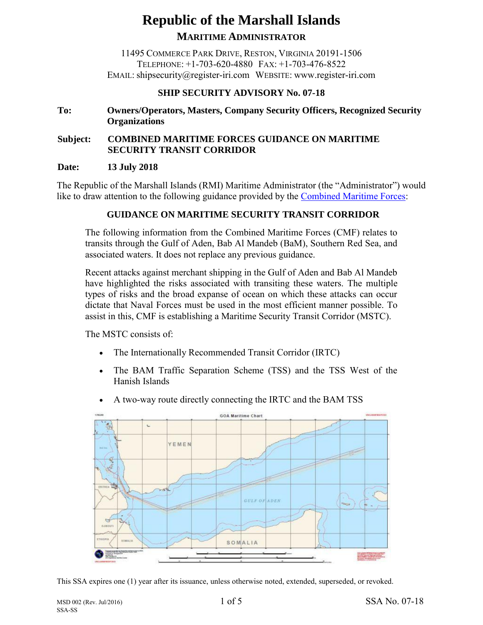# **Republic of the Marshall Islands MARITIME ADMINISTRATOR**

11495 COMMERCE PARK DRIVE, RESTON, VIRGINIA 20191-1506 TELEPHONE: +1-703-620-4880 FAX: +1-703-476-8522 EMAIL: shipsecurity@register-iri.com WEBSITE: www.register-iri.com

## **SHIP SECURITY ADVISORY No. 07-18**

## **To: Owners/Operators, Masters, Company Security Officers, Recognized Security Organizations**

# **Subject: COMBINED MARITIME FORCES GUIDANCE ON MARITIME SECURITY TRANSIT CORRIDOR**

#### **Date: 13 July 2018**

The Republic of the Marshall Islands (RMI) Maritime Administrator (the "Administrator") would like to draw attention to the following guidance provided by the [Combined Maritime Forces:](https://combinedmaritimeforces.com/maritime-security-transit-corridor-mstc/)

## **[GUIDANCE ON MARITIME SECURITY TRANSIT](https://combinedmaritimeforces.com/2017/09/06/guidance-on-maritime-security-transit-corridor/) CORRIDOR**

The following information from the Combined Maritime Forces (CMF) relates to transits through the Gulf of Aden, Bab Al Mandeb (BaM), Southern Red Sea, and associated waters. It does not replace any previous guidance.

Recent attacks against merchant shipping in the Gulf of Aden and Bab Al Mandeb have highlighted the risks associated with transiting these waters. The multiple types of risks and the broad expanse of ocean on which these attacks can occur dictate that Naval Forces must be used in the most efficient manner possible. To assist in this, CMF is establishing a Maritime Security Transit Corridor (MSTC).

The MSTC consists of:

- The Internationally Recommended Transit Corridor (IRTC)
- The BAM Traffic Separation Scheme (TSS) and the TSS West of the Hanish Islands
- A two-way route directly connecting the IRTC and the BAM TSS



This SSA expires one (1) year after its issuance, unless otherwise noted, extended, superseded, or revoked.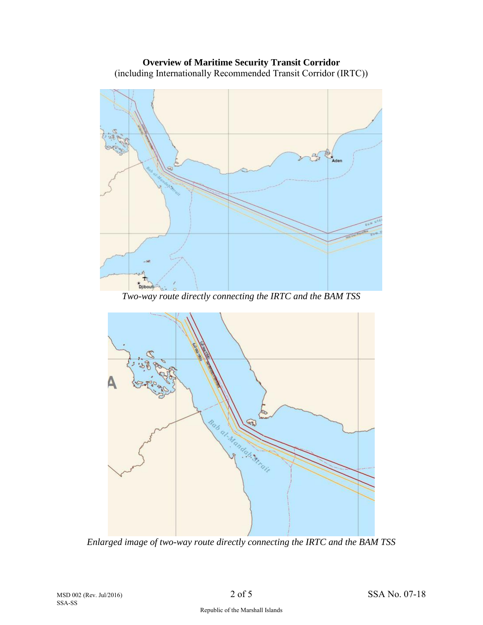**Overview of Maritime Security Transit Corridor** (including Internationally Recommended Transit Corridor (IRTC))



*Two-way route directly connecting the IRTC and the BAM TSS*



*Enlarged image of two-way route directly connecting the IRTC and the BAM TSS*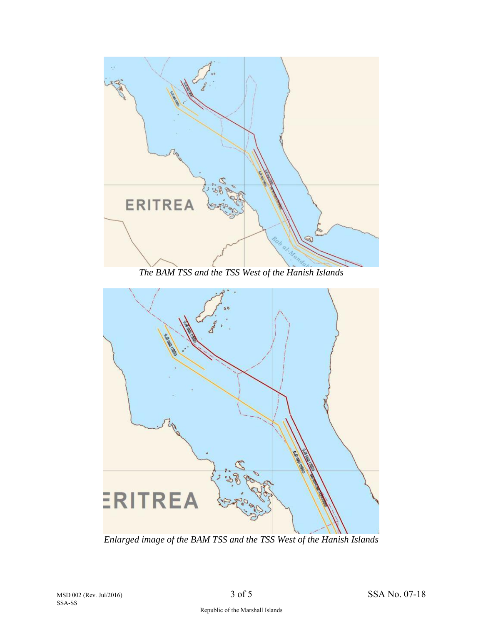

*The BAM TSS and the TSS West of the Hanish Islands*



*Enlarged image of the BAM TSS and the TSS West of the Hanish Islands*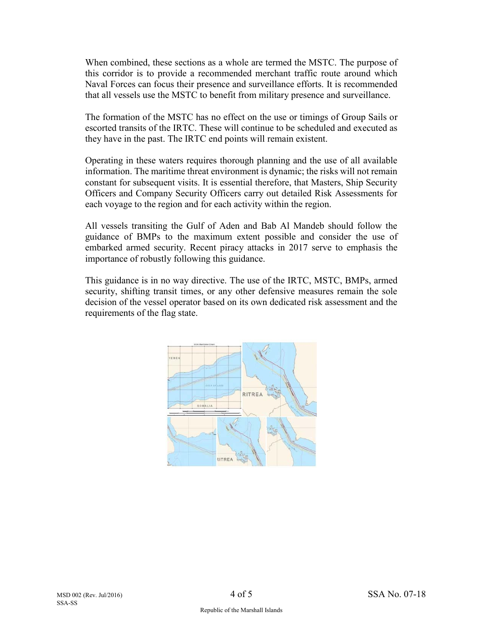When combined, these sections as a whole are termed the MSTC. The purpose of this corridor is to provide a recommended merchant traffic route around which Naval Forces can focus their presence and surveillance efforts. It is recommended that all vessels use the MSTC to benefit from military presence and surveillance.

The formation of the MSTC has no effect on the use or timings of Group Sails or escorted transits of the IRTC. These will continue to be scheduled and executed as they have in the past. The IRTC end points will remain existent.

Operating in these waters requires thorough planning and the use of all available information. The maritime threat environment is dynamic; the risks will not remain constant for subsequent visits. It is essential therefore, that Masters, Ship Security Officers and Company Security Officers carry out detailed Risk Assessments for each voyage to the region and for each activity within the region.

All vessels transiting the Gulf of Aden and Bab Al Mandeb should follow the guidance of BMPs to the maximum extent possible and consider the use of embarked armed security. Recent piracy attacks in 2017 serve to emphasis the importance of robustly following this guidance.

This guidance is in no way directive. The use of the IRTC, MSTC, BMPs, armed security, shifting transit times, or any other defensive measures remain the sole decision of the vessel operator based on its own dedicated risk assessment and the requirements of the flag state.